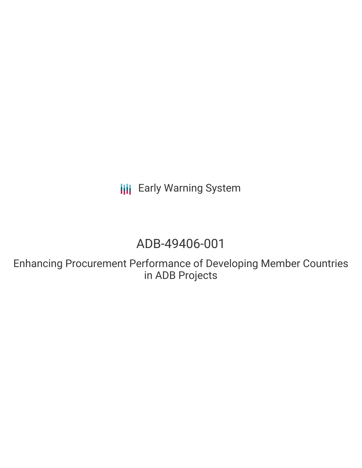**III** Early Warning System

# ADB-49406-001

Enhancing Procurement Performance of Developing Member Countries in ADB Projects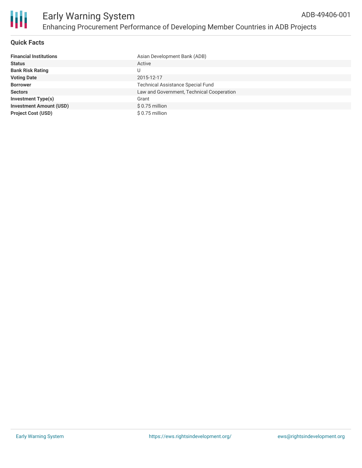

### **Quick Facts**

| <b>Financial Institutions</b>  | Asian Development Bank (ADB)              |
|--------------------------------|-------------------------------------------|
| <b>Status</b>                  | Active                                    |
| <b>Bank Risk Rating</b>        | U                                         |
| <b>Voting Date</b>             | 2015-12-17                                |
| <b>Borrower</b>                | <b>Technical Assistance Special Fund</b>  |
| <b>Sectors</b>                 | Law and Government, Technical Cooperation |
| <b>Investment Type(s)</b>      | Grant                                     |
| <b>Investment Amount (USD)</b> | \$0.75 million                            |
| <b>Project Cost (USD)</b>      | \$0.75 million                            |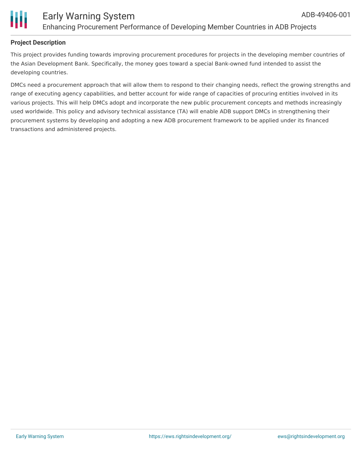

## **Project Description**

This project provides funding towards improving procurement procedures for projects in the developing member countries of the Asian Development Bank. Specifically, the money goes toward a special Bank-owned fund intended to assist the developing countries.

DMCs need a procurement approach that will allow them to respond to their changing needs, reflect the growing strengths and range of executing agency capabilities, and better account for wide range of capacities of procuring entities involved in its various projects. This will help DMCs adopt and incorporate the new public procurement concepts and methods increasingly used worldwide. This policy and advisory technical assistance (TA) will enable ADB support DMCs in strengthening their procurement systems by developing and adopting a new ADB procurement framework to be applied under its financed transactions and administered projects.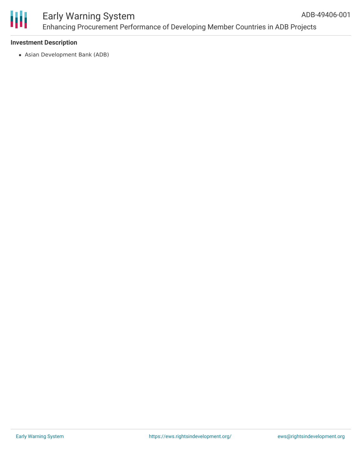

#### Early Warning System Enhancing Procurement Performance of Developing Member Countries in ADB Projects ADB-49406-001

## **Investment Description**

Asian Development Bank (ADB)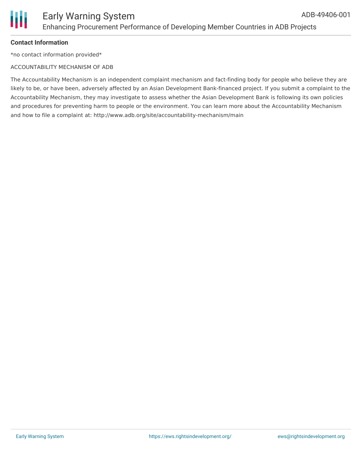## **Contact Information**

\*no contact information provided\*

## ACCOUNTABILITY MECHANISM OF ADB

The Accountability Mechanism is an independent complaint mechanism and fact-finding body for people who believe they are likely to be, or have been, adversely affected by an Asian Development Bank-financed project. If you submit a complaint to the Accountability Mechanism, they may investigate to assess whether the Asian Development Bank is following its own policies and procedures for preventing harm to people or the environment. You can learn more about the Accountability Mechanism and how to file a complaint at: http://www.adb.org/site/accountability-mechanism/main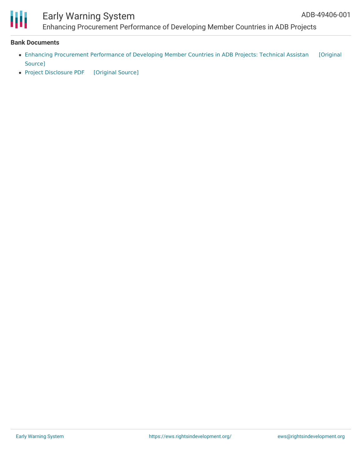

## Early Warning System

Enhancing Procurement Performance of Developing Member Countries in ADB Projects

#### **Bank Documents**

- Enhancing [Procurement](https://ewsdata.rightsindevelopment.org/files/documents/01/ADB-49406-001_qomSjGw.pdf) Performance of Developing Member Countries in ADB Projects: Technical Assistan [Original Source]
- Project [Disclosure](https://ewsdata.rightsindevelopment.org/files/documents/01/ADB-49406-001.pdf) PDF [\[Original](https://www.adb.org/printpdf/projects/49406-001/main) Source]